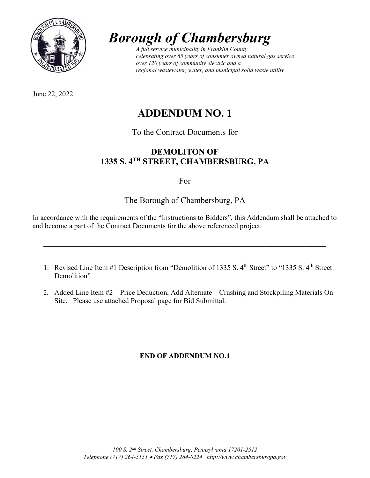

June 22, 2022

# *Borough of Chambersburg A full service municipality in Franklin County*

*celebrating over 65 years of consumer owned natural gas service over 120 years of community electric and a regional wastewater, water, and municipal solid waste utility*

## **ADDENDUM NO. 1**

## To the Contract Documents for

## **DEMOLITON OF 1335 S. 4TH STREET, CHAMBERSBURG, PA**

## For

## The Borough of Chambersburg, PA

In accordance with the requirements of the "Instructions to Bidders", this Addendum shall be attached to and become a part of the Contract Documents for the above referenced project.

\_\_\_\_\_\_\_\_\_\_\_\_\_\_\_\_\_\_\_\_\_\_\_\_\_\_\_\_\_\_\_\_\_\_\_\_\_\_\_\_\_\_\_\_\_\_\_\_\_\_\_\_\_\_\_\_\_\_\_\_\_\_\_\_\_\_\_\_\_\_\_\_\_\_\_\_\_\_

- 1. Revised Line Item #1 Description from "Demolition of 1335 S. 4<sup>th</sup> Street" to "1335 S. 4<sup>th</sup> Street Demolition"
- 2. Added Line Item #2 Price Deduction, Add Alternate Crushing and Stockpiling Materials On Site. Please use attached Proposal page for Bid Submittal.

## **END OF ADDENDUM NO.1**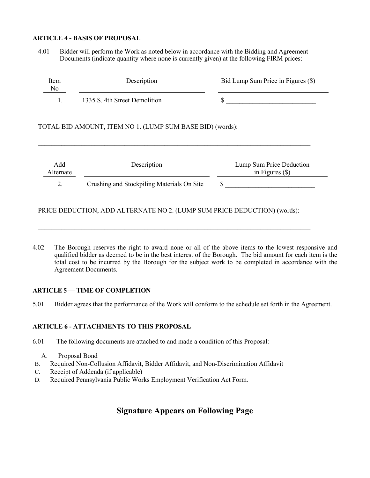#### **ARTICLE 4 - BASIS OF PROPOSAL**

4.01 Bidder will perform the Work as noted below in accordance with the Bidding and Agreement Documents (indicate quantity where none is currently given) at the following FIRM prices:

| Item<br>No | Description                   | Bid Lump Sum Price in Figures (\$) |
|------------|-------------------------------|------------------------------------|
|            | 1335 S. 4th Street Demolition |                                    |

#### TOTAL BID AMOUNT, ITEM NO 1. (LUMP SUM BASE BID) (words):

| Add<br>Alternate | Description                                | Lump Sum Price Deduction<br>in Figures $(\$)$ |
|------------------|--------------------------------------------|-----------------------------------------------|
| 2.               | Crushing and Stockpiling Materials On Site |                                               |

\_\_\_\_\_\_\_\_\_\_\_\_\_\_\_\_\_\_\_\_\_\_\_\_\_\_\_\_\_\_\_\_\_\_\_\_\_\_\_\_\_\_\_\_\_\_\_\_\_\_\_\_\_\_\_\_\_\_\_\_\_\_\_\_\_\_\_\_\_\_\_\_\_\_\_\_\_\_\_\_\_\_

PRICE DEDUCTION, ADD ALTERNATE NO 2. (LUMP SUM PRICE DEDUCTION) (words):

 $\mathcal{L}_\text{max}$  , and the contribution of the contribution of the contribution of the contribution of the contribution of the contribution of the contribution of the contribution of the contribution of the contribution of t

4.02 The Borough reserves the right to award none or all of the above items to the lowest responsive and qualified bidder as deemed to be in the best interest of the Borough. The bid amount for each item is the total cost to be incurred by the Borough for the subject work to be completed in accordance with the Agreement Documents.

#### **ARTICLE 5 — TIME OF COMPLETION**

5.01 Bidder agrees that the performance of the Work will conform to the schedule set forth in the Agreement.

#### **ARTICLE 6 - ATTACHMENTS TO THIS PROPOSAL**

- 6.01 The following documents are attached to and made a condition of this Proposal:
	- A. Proposal Bond
- B. Required Non-Collusion Affidavit, Bidder Affidavit, and Non-Discrimination Affidavit
- C. Receipt of Addenda (if applicable)
- D. Required Pennsylvania Public Works Employment Verification Act Form.

### **Signature Appears on Following Page**